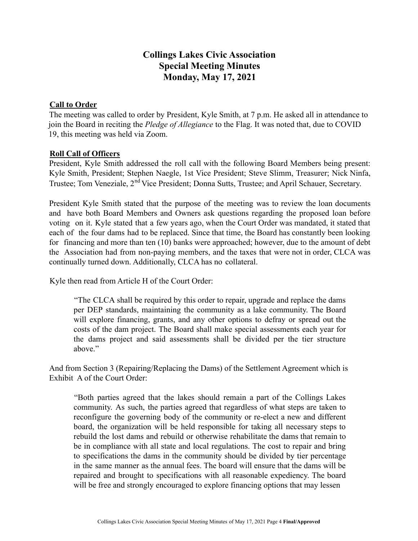## **Collings Lakes Civic Association Special Meeting Minutes Monday, May 17, 2021**

## **Call to Order**

The meeting was called to order by President, Kyle Smith, at 7 p.m. He asked all in attendance to join the Board in reciting the *Pledge of Allegiance* to the Flag. It was noted that, due to COVID 19, this meeting was held via Zoom.

## **Roll Call of Officers**

President, Kyle Smith addressed the roll call with the following Board Members being present: Kyle Smith, President; Stephen Naegle, 1st Vice President; Steve Slimm, Treasurer; Nick Ninfa, Trustee; Tom Veneziale, 2<sup>nd</sup> Vice President; Donna Sutts, Trustee; and April Schauer, Secretary.

President Kyle Smith stated that the purpose of the meeting was to review the loan documents and have both Board Members and Owners ask questions regarding the proposed loan before voting on it. Kyle stated that a few years ago, when the Court Order was mandated, it stated that each of the four dams had to be replaced. Since that time, the Board has constantly been looking for financing and more than ten (10) banks were approached; however, due to the amount of debt the Association had from non-paying members, and the taxes that were not in order, CLCA was continually turned down. Additionally, CLCA has no collateral.

Kyle then read from Article H of the Court Order:

"The CLCA shall be required by this order to repair, upgrade and replace the dams per DEP standards, maintaining the community as a lake community. The Board will explore financing, grants, and any other options to defray or spread out the costs of the dam project. The Board shall make special assessments each year for the dams project and said assessments shall be divided per the tier structure above."

And from Section 3 (Repairing/Replacing the Dams) of the Settlement Agreement which is Exhibit A of the Court Order:

"Both parties agreed that the lakes should remain a part of the Collings Lakes community. As such, the parties agreed that regardless of what steps are taken to reconfigure the governing body of the community or re-elect a new and different board, the organization will be held responsible for taking all necessary steps to rebuild the lost dams and rebuild or otherwise rehabilitate the dams that remain to be in compliance with all state and local regulations. The cost to repair and bring to specifications the dams in the community should be divided by tier percentage in the same manner as the annual fees. The board will ensure that the dams will be repaired and brought to specifications with all reasonable expediency. The board will be free and strongly encouraged to explore financing options that may lessen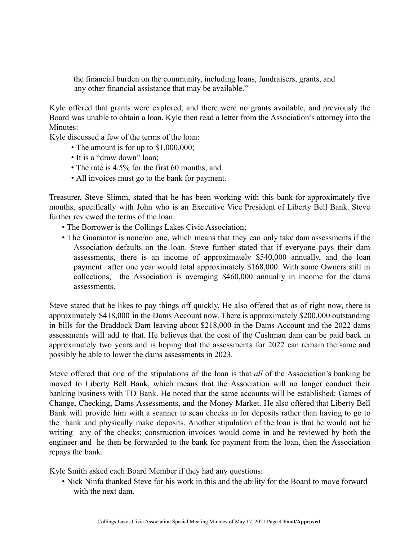the financial burden on the community, including loans, fundraisers, grants, and any other financial assistance that may be available."

Kyle offered that grants were explored, and there were no grants available, and previously the Board was unable to obtain a loan. Kyle then read a letter from the Association's attorney into the Minutes:

Kyle discussed a few of the terms of the loan:

- The amount is for up to \$1,000,000;
- It is a "draw down" loan;
- The rate is 4.5% for the first 60 months; and
- All invoices must go to the bank for payment.

Treasurer, Steve Slimm, stated that he has been working with this bank for approximately five months, specifically with John who is an Executive Vice President of Liberty Bell Bank. Steve further reviewed the terms of the loan:

- The Borrower is the Collings Lakes Civic Association;
- The Guarantor is none/no one, which means that they can only take dam assessments if the Association defaults on the loan. Steve further stated that if everyone pays their dam assessments, there is an income of approximately \$540,000 annually, and the loan payment after one year would total approximately \$168,000. With some Owners still in collections, the Association is averaging \$460,000 annually in income for the dams assessments.

Steve stated that he likes to pay things off quickly. He also offered that as of right now, there is approximately \$418,000 in the Dams Account now. There is approximately \$200,000 outstanding in bills for the Braddock Dam leaving about \$218,000 in the Dams Account and the 2022 dams assessments will add to that. He believes that the cost of the Cushman dam can be paid back in approximately two years and is hoping that the assessments for 2022 can remain the same and possibly be able to lower the dams assessments in 2023.

Steve offered that one of the stipulations of the loan is that *all* of the Association's banking be moved to Liberty Bell Bank, which means that the Association will no longer conduct their banking business with TD Bank. He noted that the same accounts will be established: Games of Change, Checking, Dams Assessments, and the Money Market. He also offered that Liberty Bell Bank will provide him with a scanner to scan checks in for deposits rather than having to go to the bank and physically make deposits. Another stipulation of the loan is that he would not be writing any of the checks; construction invoices would come in and be reviewed by both the engineer and he then be forwarded to the bank for payment from the loan, then the Association repays the bank.

Kyle Smith asked each Board Member if they had any questions:

• Nick Ninfa thanked Steve for his work in this and the ability for the Board to move forward with the next dam.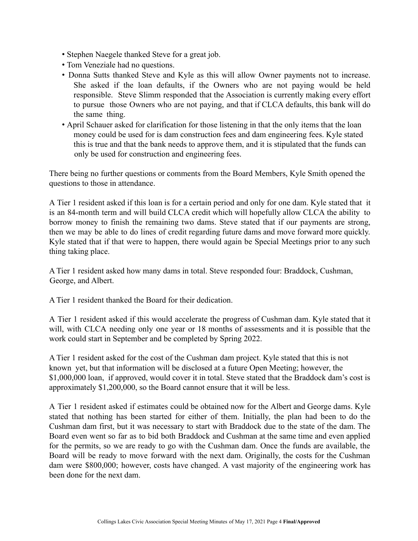- Stephen Naegele thanked Steve for a great job.
- Tom Veneziale had no questions.
- Donna Sutts thanked Steve and Kyle as this will allow Owner payments not to increase. She asked if the loan defaults, if the Owners who are not paying would be held responsible. Steve Slimm responded that the Association is currently making every effort to pursue those Owners who are not paying, and that if CLCA defaults, this bank will do the same thing.
- April Schauer asked for clarification for those listening in that the only items that the loan money could be used for is dam construction fees and dam engineering fees. Kyle stated this is true and that the bank needs to approve them, and it is stipulated that the funds can only be used for construction and engineering fees.

There being no further questions or comments from the Board Members, Kyle Smith opened the questions to those in attendance.

A Tier 1 resident asked if this loan is for a certain period and only for one dam. Kyle stated that it is an 84-month term and will build CLCA credit which will hopefully allow CLCA the ability to borrow money to finish the remaining two dams. Steve stated that if our payments are strong, then we may be able to do lines of credit regarding future dams and move forward more quickly. Kyle stated that if that were to happen, there would again be Special Meetings prior to any such thing taking place.

A Tier 1 resident asked how many dams in total. Steve responded four: Braddock, Cushman, George, and Albert.

A Tier 1 resident thanked the Board for their dedication.

A Tier 1 resident asked if this would accelerate the progress of Cushman dam. Kyle stated that it will, with CLCA needing only one year or 18 months of assessments and it is possible that the work could start in September and be completed by Spring 2022.

A Tier 1 resident asked for the cost of the Cushman dam project. Kyle stated that this is not known yet, but that information will be disclosed at a future Open Meeting; however, the \$1,000,000 loan, if approved, would cover it in total. Steve stated that the Braddock dam's cost is approximately \$1,200,000, so the Board cannot ensure that it will be less.

A Tier 1 resident asked if estimates could be obtained now for the Albert and George dams. Kyle stated that nothing has been started for either of them. Initially, the plan had been to do the Cushman dam first, but it was necessary to start with Braddock due to the state of the dam. The Board even went so far as to bid both Braddock and Cushman at the same time and even applied for the permits, so we are ready to go with the Cushman dam. Once the funds are available, the Board will be ready to move forward with the next dam. Originally, the costs for the Cushman dam were \$800,000; however, costs have changed. A vast majority of the engineering work has been done for the next dam.